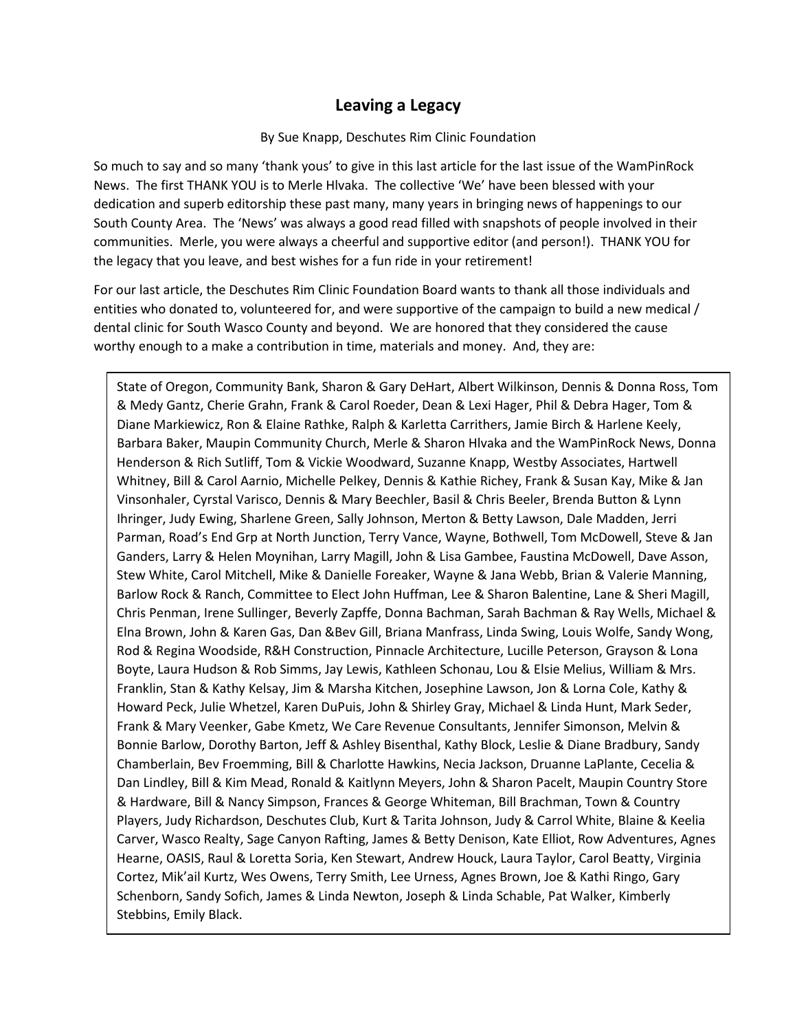## **Leaving a Legacy**

## By Sue Knapp, Deschutes Rim Clinic Foundation

So much to say and so many 'thank yous' to give in this last article for the last issue of the WamPinRock News. The first THANK YOU is to Merle Hlvaka. The collective 'We' have been blessed with your dedication and superb editorship these past many, many years in bringing news of happenings to our South County Area. The 'News' was always a good read filled with snapshots of people involved in their communities. Merle, you were always a cheerful and supportive editor (and person!). THANK YOU for the legacy that you leave, and best wishes for a fun ride in your retirement!

For our last article, the Deschutes Rim Clinic Foundation Board wants to thank all those individuals and entities who donated to, volunteered for, and were supportive of the campaign to build a new medical / dental clinic for South Wasco County and beyond. We are honored that they considered the cause worthy enough to a make a contribution in time, materials and money. And, they are:

State of Oregon, Community Bank, Sharon & Gary DeHart, Albert Wilkinson, Dennis & Donna Ross, Tom & Medy Gantz, Cherie Grahn, Frank & Carol Roeder, Dean & Lexi Hager, Phil & Debra Hager, Tom & Diane Markiewicz, Ron & Elaine Rathke, Ralph & Karletta Carrithers, Jamie Birch & Harlene Keely, Barbara Baker, Maupin Community Church, Merle & Sharon Hlvaka and the WamPinRock News, Donna Henderson & Rich Sutliff, Tom & Vickie Woodward, Suzanne Knapp, Westby Associates, Hartwell Whitney, Bill & Carol Aarnio, Michelle Pelkey, Dennis & Kathie Richey, Frank & Susan Kay, Mike & Jan Vinsonhaler, Cyrstal Varisco, Dennis & Mary Beechler, Basil & Chris Beeler, Brenda Button & Lynn Ihringer, Judy Ewing, Sharlene Green, Sally Johnson, Merton & Betty Lawson, Dale Madden, Jerri Parman, Road's End Grp at North Junction, Terry Vance, Wayne, Bothwell, Tom McDowell, Steve & Jan Ganders, Larry & Helen Moynihan, Larry Magill, John & Lisa Gambee, Faustina McDowell, Dave Asson, Stew White, Carol Mitchell, Mike & Danielle Foreaker, Wayne & Jana Webb, Brian & Valerie Manning, Barlow Rock & Ranch, Committee to Elect John Huffman, Lee & Sharon Balentine, Lane & Sheri Magill, Chris Penman, Irene Sullinger, Beverly Zapffe, Donna Bachman, Sarah Bachman & Ray Wells, Michael & Elna Brown, John & Karen Gas, Dan &Bev Gill, Briana Manfrass, Linda Swing, Louis Wolfe, Sandy Wong, Rod & Regina Woodside, R&H Construction, Pinnacle Architecture, Lucille Peterson, Grayson & Lona Boyte, Laura Hudson & Rob Simms, Jay Lewis, Kathleen Schonau, Lou & Elsie Melius, William & Mrs. Franklin, Stan & Kathy Kelsay, Jim & Marsha Kitchen, Josephine Lawson, Jon & Lorna Cole, Kathy & Howard Peck, Julie Whetzel, Karen DuPuis, John & Shirley Gray, Michael & Linda Hunt, Mark Seder, Frank & Mary Veenker, Gabe Kmetz, We Care Revenue Consultants, Jennifer Simonson, Melvin & Bonnie Barlow, Dorothy Barton, Jeff & Ashley Bisenthal, Kathy Block, Leslie & Diane Bradbury, Sandy Chamberlain, Bev Froemming, Bill & Charlotte Hawkins, Necia Jackson, Druanne LaPlante, Cecelia & Dan Lindley, Bill & Kim Mead, Ronald & Kaitlynn Meyers, John & Sharon Pacelt, Maupin Country Store & Hardware, Bill & Nancy Simpson, Frances & George Whiteman, Bill Brachman, Town & Country Players, Judy Richardson, Deschutes Club, Kurt & Tarita Johnson, Judy & Carrol White, Blaine & Keelia Carver, Wasco Realty, Sage Canyon Rafting, James & Betty Denison, Kate Elliot, Row Adventures, Agnes Hearne, OASIS, Raul & Loretta Soria, Ken Stewart, Andrew Houck, Laura Taylor, Carol Beatty, Virginia Cortez, Mik'ail Kurtz, Wes Owens, Terry Smith, Lee Urness, Agnes Brown, Joe & Kathi Ringo, Gary Schenborn, Sandy Sofich, James & Linda Newton, Joseph & Linda Schable, Pat Walker, Kimberly Stebbins, Emily Black.